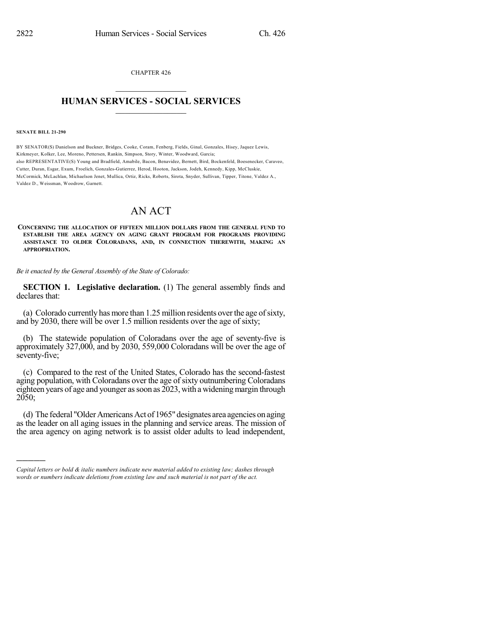CHAPTER 426  $\overline{\phantom{a}}$  . The set of the set of the set of the set of the set of the set of the set of the set of the set of the set of the set of the set of the set of the set of the set of the set of the set of the set of the set o

## **HUMAN SERVICES - SOCIAL SERVICES**  $\frac{1}{2}$  ,  $\frac{1}{2}$  ,  $\frac{1}{2}$  ,  $\frac{1}{2}$  ,  $\frac{1}{2}$  ,  $\frac{1}{2}$  ,  $\frac{1}{2}$

**SENATE BILL 21-290**

)))))

BY SENATOR(S) Danielson and Buckner, Bridges, Cooke, Coram, Fenberg, Fields, Ginal, Gonzales, Hisey, Jaquez Lewis, Kirkmeyer, Kolker, Lee, Moreno, Pettersen, Rankin, Simpson, Story, Winter, Woodward, Garcia; also REPRESENTATIVE(S) Young and Bradfield, Amabile, Bacon, Benavidez, Bernett, Bird, Bockenfeld, Boesenecker, Caraveo, Cutter, Duran, Esgar, Exum, Froelich, Gonzales-Gutierrez, Herod, Hooton, Jackson, Jodeh, Kennedy, Kipp, McCluskie, McCormick, McLachlan, Michaelson Jenet, Mullica, Ortiz, Ricks, Roberts, Sirota, Snyder, Sullivan, Tipper, Titone, Valdez A., Valdez D., Weissman, Woodrow, Garnett.

## AN ACT

**CONCERNING THE ALLOCATION OF FIFTEEN MILLION DOLLARS FROM THE GENERAL FUND TO ESTABLISH THE AREA AGENCY ON AGING GRANT PROGRAM FOR PROGRAMS PROVIDING ASSISTANCE TO OLDER COLORADANS, AND, IN CONNECTION THEREWITH, MAKING AN APPROPRIATION.**

*Be it enacted by the General Assembly of the State of Colorado:*

**SECTION 1. Legislative declaration.** (1) The general assembly finds and declares that:

(a) Colorado currently has more than  $1.25$  million residents over the age of sixty, and by 2030, there will be over 1.5 million residents over the age of sixty;

(b) The statewide population of Coloradans over the age of seventy-five is approximately 327,000, and by 2030, 559,000 Coloradans will be over the age of seventy-five;

(c) Compared to the rest of the United States, Colorado has the second-fastest aging population, with Coloradans over the age of sixty outnumbering Coloradans eighteen years of age and younger as soon as  $2023$ , with a widening margin through 2050;

(d) The federal "Older Americans Act of 1965" designates area agencies on aging as the leader on all aging issues in the planning and service areas. The mission of the area agency on aging network is to assist older adults to lead independent,

*Capital letters or bold & italic numbers indicate new material added to existing law; dashes through words or numbers indicate deletions from existing law and such material is not part of the act.*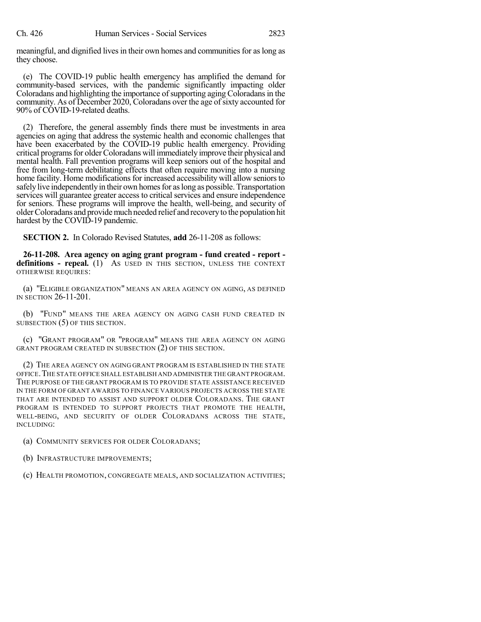meaningful, and dignified lives in their own homes and communities for as long as they choose.

(e) The COVID-19 public health emergency has amplified the demand for community-based services, with the pandemic significantly impacting older Coloradans and highlighting the importance of supporting aging Coloradans in the community. As of December 2020, Coloradans over the age of sixty accounted for 90% of COVID-19-related deaths.

(2) Therefore, the general assembly finds there must be investments in area agencies on aging that address the systemic health and economic challenges that have been exacerbated by the COVID-19 public health emergency. Providing critical programs for older Coloradans will immediately improve their physical and mental health. Fall prevention programs will keep seniors out of the hospital and free from long-term debilitating effects that often require moving into a nursing home facility. Home modifications for increased accessibility will allow seniorsto safely live independently in their own homes for as long as possible. Transportation services will guarantee greater access to critical services and ensure independence for seniors. These programs will improve the health, well-being, and security of olderColoradans and providemuch needed relief and recoveryto the population hit hardest by the COVID-19 pandemic.

**SECTION 2.** In Colorado Revised Statutes, **add** 26-11-208 as follows:

**26-11-208. Area agency on aging grant program - fund created - report definitions - repeal.** (1) AS USED IN THIS SECTION, UNLESS THE CONTEXT OTHERWISE REQUIRES:

(a) "ELIGIBLE ORGANIZATION" MEANS AN AREA AGENCY ON AGING, AS DEFINED IN SECTION 26-11-201.

(b) "FUND" MEANS THE AREA AGENCY ON AGING CASH FUND CREATED IN SUBSECTION (5) OF THIS SECTION.

(c) "GRANT PROGRAM" OR "PROGRAM" MEANS THE AREA AGENCY ON AGING GRANT PROGRAM CREATED IN SUBSECTION (2) OF THIS SECTION.

(2) THE AREA AGENCY ON AGING GRANT PROGRAM IS ESTABLISHED IN THE STATE OFFICE.THE STATE OFFICE SHALL ESTABLISH AND ADMINISTER THE GRANT PROGRAM. THE PURPOSE OF THE GRANT PROGRAM IS TO PROVIDE STATE ASSISTANCE RECEIVED IN THE FORM OF GRANT AWARDS TO FINANCE VARIOUS PROJECTS ACROSS THE STATE THAT ARE INTENDED TO ASSIST AND SUPPORT OLDER COLORADANS. THE GRANT PROGRAM IS INTENDED TO SUPPORT PROJECTS THAT PROMOTE THE HEALTH, WELL-BEING, AND SECURITY OF OLDER COLORADANS ACROSS THE STATE, INCLUDING:

(a) COMMUNITY SERVICES FOR OLDER COLORADANS;

(b) INFRASTRUCTURE IMPROVEMENTS;

(c) HEALTH PROMOTION, CONGREGATE MEALS, AND SOCIALIZATION ACTIVITIES;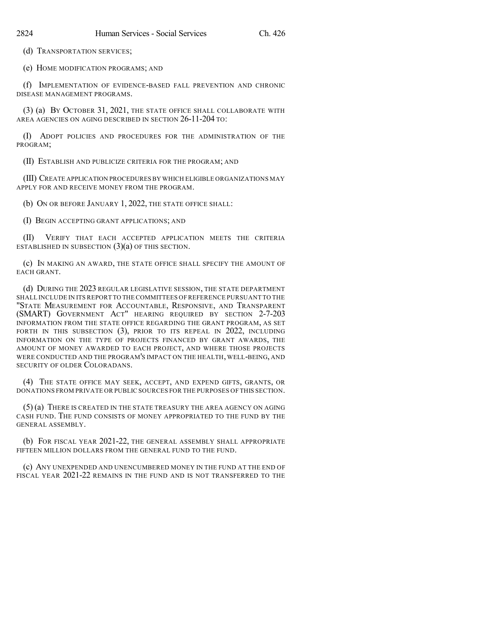(d) TRANSPORTATION SERVICES;

(e) HOME MODIFICATION PROGRAMS; AND

(f) IMPLEMENTATION OF EVIDENCE-BASED FALL PREVENTION AND CHRONIC DISEASE MANAGEMENT PROGRAMS.

(3) (a) BY OCTOBER 31, 2021, THE STATE OFFICE SHALL COLLABORATE WITH AREA AGENCIES ON AGING DESCRIBED IN SECTION 26-11-204 TO:

(I) ADOPT POLICIES AND PROCEDURES FOR THE ADMINISTRATION OF THE PROGRAM;

(II) ESTABLISH AND PUBLICIZE CRITERIA FOR THE PROGRAM; AND

(III) CREATE APPLICATION PROCEDURESBY WHICH ELIGIBLE ORGANIZATIONS MAY APPLY FOR AND RECEIVE MONEY FROM THE PROGRAM.

(b) ON OR BEFORE JANUARY 1, 2022, THE STATE OFFICE SHALL:

(I) BEGIN ACCEPTING GRANT APPLICATIONS; AND

(II) VERIFY THAT EACH ACCEPTED APPLICATION MEETS THE CRITERIA ESTABLISHED IN SUBSECTION  $(3)(a)$  OF THIS SECTION.

(c) IN MAKING AN AWARD, THE STATE OFFICE SHALL SPECIFY THE AMOUNT OF EACH GRANT.

(d) DURING THE 2023 REGULAR LEGISLATIVE SESSION, THE STATE DEPARTMENT SHALL INCLUDE IN ITS REPORT TO THECOMMITTEES OF REFERENCE PURSUANT TO THE "STATE MEASUREMENT FOR ACCOUNTABLE, RESPONSIVE, AND TRANSPARENT (SMART) GOVERNMENT ACT" HEARING REQUIRED BY SECTION 2-7-203 INFORMATION FROM THE STATE OFFICE REGARDING THE GRANT PROGRAM, AS SET FORTH IN THIS SUBSECTION (3), PRIOR TO ITS REPEAL IN 2022, INCLUDING INFORMATION ON THE TYPE OF PROJECTS FINANCED BY GRANT AWARDS, THE AMOUNT OF MONEY AWARDED TO EACH PROJECT, AND WHERE THOSE PROJECTS WERE CONDUCTED AND THE PROGRAM'S IMPACT ON THE HEALTH, WELL-BEING, AND SECURITY OF OLDER COLORADANS.

(4) THE STATE OFFICE MAY SEEK, ACCEPT, AND EXPEND GIFTS, GRANTS, OR DONATIONS FROM PRIVATE OR PUBLIC SOURCES FOR THE PURPOSES OF THIS SECTION.

(5) (a) THERE IS CREATED IN THE STATE TREASURY THE AREA AGENCY ON AGING CASH FUND. THE FUND CONSISTS OF MONEY APPROPRIATED TO THE FUND BY THE GENERAL ASSEMBLY.

(b) FOR FISCAL YEAR 2021-22, THE GENERAL ASSEMBLY SHALL APPROPRIATE FIFTEEN MILLION DOLLARS FROM THE GENERAL FUND TO THE FUND.

(c) ANY UNEXPENDED AND UNENCUMBERED MONEY IN THE FUND AT THE END OF FISCAL YEAR 2021-22 REMAINS IN THE FUND AND IS NOT TRANSFERRED TO THE